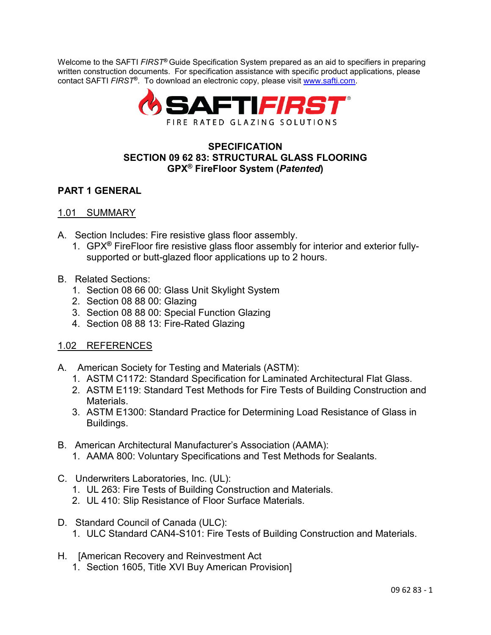Welcome to the SAFTI *FIRST***®** Guide Specification System prepared as an aid to specifiers in preparing written construction documents. For specification assistance with specific product applications, please contact SAFTI *FIRST***®**. To download an electronic copy, please visit [www.safti.com.](http://www.safti.com/)



## **SPECIFICATION SECTION 09 62 83: STRUCTURAL GLASS FLOORING GPX® FireFloor System (***Patented***)**

## **PART 1 GENERAL**

## 1.01 SUMMARY

- A. Section Includes: Fire resistive glass floor assembly.
	- 1. GPX**®** FireFloor fire resistive glass floor assembly for interior and exterior fullysupported or butt-glazed floor applications up to 2 hours.
- B. Related Sections:
	- 1. Section 08 66 00: Glass Unit Skylight System
	- 2. Section 08 88 00: Glazing
	- 3. Section 08 88 00: Special Function Glazing
	- 4. Section 08 88 13: Fire-Rated Glazing

## 1.02 REFERENCES

- A. American Society for Testing and Materials (ASTM):
	- 1. ASTM C1172: Standard Specification for Laminated Architectural Flat Glass.
	- 2. ASTM E119: Standard Test Methods for Fire Tests of Building Construction and Materials.
	- 3. ASTM E1300: Standard Practice for Determining Load Resistance of Glass in Buildings.
- B. American Architectural Manufacturer's Association (AAMA):
	- 1. AAMA 800: Voluntary Specifications and Test Methods for Sealants.
- C. Underwriters Laboratories, Inc. (UL):
	- 1. UL 263: Fire Tests of Building Construction and Materials.
	- 2. UL 410: Slip Resistance of Floor Surface Materials.
- D. Standard Council of Canada (ULC): 1. ULC Standard CAN4-S101: Fire Tests of Building Construction and Materials.
- H. [American Recovery and Reinvestment Act
	- 1. Section 1605, Title XVI Buy American Provision]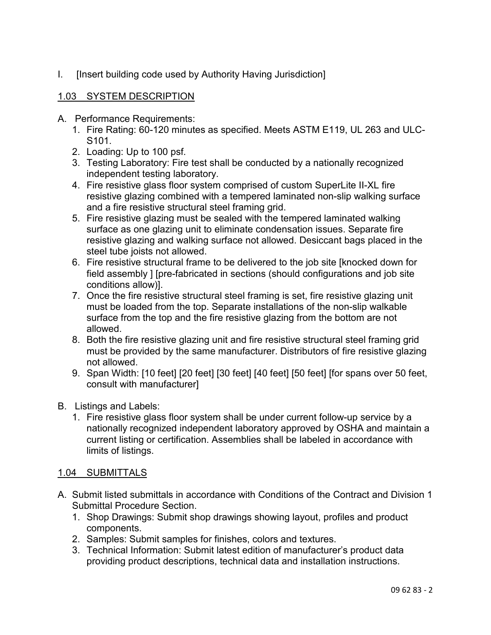I. [Insert building code used by Authority Having Jurisdiction]

## 1.03 SYSTEM DESCRIPTION

- A. Performance Requirements:
	- 1. Fire Rating: 60-120 minutes as specified. Meets ASTM E119, UL 263 and ULC-S101.
	- 2. Loading: Up to 100 psf.
	- 3. Testing Laboratory: Fire test shall be conducted by a nationally recognized independent testing laboratory.
	- 4. Fire resistive glass floor system comprised of custom SuperLite II-XL fire resistive glazing combined with a tempered laminated non-slip walking surface and a fire resistive structural steel framing grid.
	- 5. Fire resistive glazing must be sealed with the tempered laminated walking surface as one glazing unit to eliminate condensation issues. Separate fire resistive glazing and walking surface not allowed. Desiccant bags placed in the steel tube joists not allowed.
	- 6. Fire resistive structural frame to be delivered to the job site [knocked down for field assembly ] [pre-fabricated in sections (should configurations and job site conditions allow)].
	- 7. Once the fire resistive structural steel framing is set, fire resistive glazing unit must be loaded from the top. Separate installations of the non-slip walkable surface from the top and the fire resistive glazing from the bottom are not allowed.
	- 8. Both the fire resistive glazing unit and fire resistive structural steel framing grid must be provided by the same manufacturer. Distributors of fire resistive glazing not allowed.
	- 9. Span Width: [10 feet] [20 feet] [30 feet] [40 feet] [50 feet] [for spans over 50 feet, consult with manufacturer]
- B. Listings and Labels:
	- 1. Fire resistive glass floor system shall be under current follow-up service by a nationally recognized independent laboratory approved by OSHA and maintain a current listing or certification. Assemblies shall be labeled in accordance with limits of listings.

### 1.04 SUBMITTALS

- A. Submit listed submittals in accordance with Conditions of the Contract and Division 1 Submittal Procedure Section.
	- 1. Shop Drawings: Submit shop drawings showing layout, profiles and product components.
	- 2. Samples: Submit samples for finishes, colors and textures.
	- 3. Technical Information: Submit latest edition of manufacturer's product data providing product descriptions, technical data and installation instructions.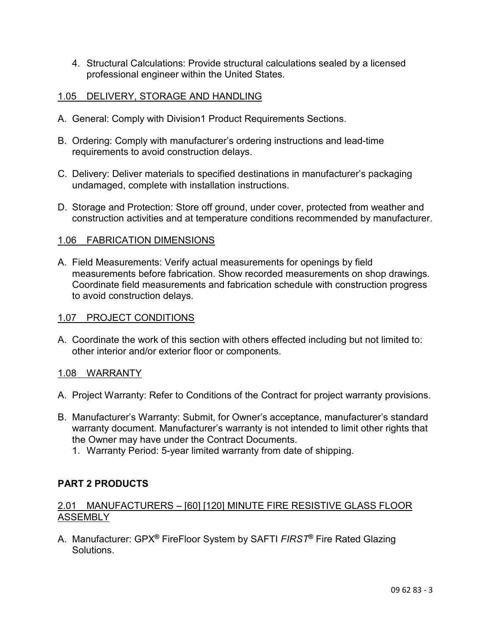4. Structural Calculations: Provide structural calculations sealed by a licensed professional engineer within the United States.

### 1.05 DELIVERY, STORAGE AND HANDLING

- A. General: Comply with Division1 Product Requirements Sections.
- B. Ordering: Comply with manufacturer's ordering instructions and lead-time requirements to avoid construction delays.
- C. Delivery: Deliver materials to specified destinations in manufacturer's packaging undamaged, complete with installation instructions.
- D. Storage and Protection: Store off ground, under cover, protected from weather and construction activities and at temperature conditions recommended by manufacturer.

### 1.06 FABRICATION DIMENSIONS

A. Field Measurements: Verify actual measurements for openings by field measurements before fabrication. Show recorded measurements on shop drawings. Coordinate field measurements and fabrication schedule with construction progress to avoid construction delays.

#### 1.07 PROJECT CONDITIONS

A. Coordinate the work of this section with others effected including but not limited to: other interior and/or exterior floor or components.

### 1.08 WARRANTY

- A. Project Warranty: Refer to Conditions of the Contract for project warranty provisions.
- B. Manufacturer's Warranty: Submit, for Owner's acceptance, manufacturer's standard warranty document. Manufacturer's warranty is not intended to limit other rights that the Owner may have under the Contract Documents.
	- 1. Warranty Period: 5-year limited warranty from date of shipping.

### **PART 2 PRODUCTS**

### 2.01 MANUFACTURERS – [60] [120] MINUTE FIRE RESISTIVE GLASS FLOOR ASSEMBLY

A. Manufacturer: GPX**®** FireFloor System by SAFTI *FIRST***®** Fire Rated Glazing **Solutions**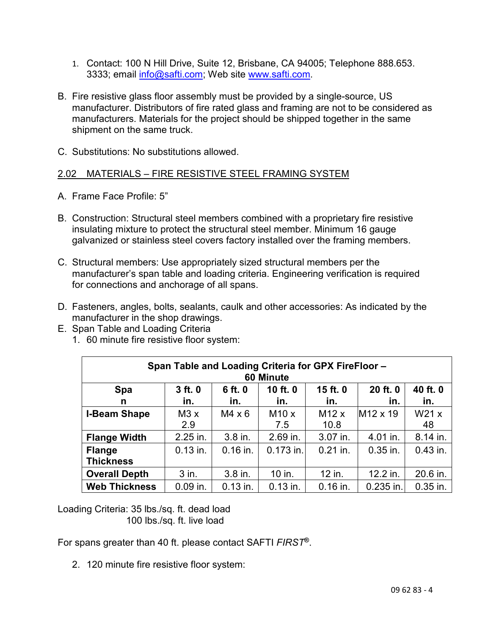- 1. Contact: 100 N Hill Drive, Suite 12, Brisbane, CA 94005; Telephone 888.653. 3333; email [info@safti.com;](mailto:info@safti.com) Web site [www.safti.com.](http://www.safti.com/)
- B. Fire resistive glass floor assembly must be provided by a single-source, US manufacturer. Distributors of fire rated glass and framing are not to be considered as manufacturers. Materials for the project should be shipped together in the same shipment on the same truck.
- C. Substitutions: No substitutions allowed.

#### 2.02 MATERIALS – FIRE RESISTIVE STEEL FRAMING SYSTEM

- A. Frame Face Profile: 5"
- B. Construction: Structural steel members combined with a proprietary fire resistive insulating mixture to protect the structural steel member. Minimum 16 gauge galvanized or stainless steel covers factory installed over the framing members.
- C. Structural members: Use appropriately sized structural members per the manufacturer's span table and loading criteria. Engineering verification is required for connections and anchorage of all spans.
- D. Fasteners, angles, bolts, sealants, caulk and other accessories: As indicated by the manufacturer in the shop drawings.
- E. Span Table and Loading Criteria
	- 1. 60 minute fire resistive floor system:

| Span Table and Loading Criteria for GPX FireFloor -<br>60 Minute |                    |                |                 |                     |                      |                 |  |  |  |  |
|------------------------------------------------------------------|--------------------|----------------|-----------------|---------------------|----------------------|-----------------|--|--|--|--|
| Spa<br>n                                                         | $3$ ft. $0$<br>in. | 6 ft. 0<br>in. | 10 ft. 0<br>in. | $15$ ft. $0$<br>in. | 20 ft. 0<br>in.      | 40 ft. 0<br>in. |  |  |  |  |
| <b>I-Beam Shape</b>                                              | M3x<br>2.9         | $M4 \times 6$  | M10x<br>7.5     | M12x<br>10.8        | M <sub>12</sub> x 19 | W21x<br>48      |  |  |  |  |
| <b>Flange Width</b>                                              | 2.25 in.           | 3.8 in.        | 2.69 in.        | 3.07 in.            | 4.01 in.             | 8.14 in.        |  |  |  |  |
| <b>Flange</b><br><b>Thickness</b>                                | $0.13$ in.         | $0.16$ in.     | $0.173$ in.     | $0.21$ in.          | $0.35$ in.           | $0.43$ in.      |  |  |  |  |
| <b>Overall Depth</b>                                             | $3$ in.            | 3.8 in.        | 10 in.          | 12 in.              | 12.2 in.             | 20.6 in.        |  |  |  |  |
| <b>Web Thickness</b>                                             | $0.09$ in.         | $0.13$ in.     | $0.13$ in.      | $0.16$ in.          | $0.235$ in.          | $0.35$ in.      |  |  |  |  |

Loading Criteria: 35 lbs./sq. ft. dead load 100 lbs./sq. ft. live load

For spans greater than 40 ft. please contact SAFTI *FIRST***®**.

2. 120 minute fire resistive floor system: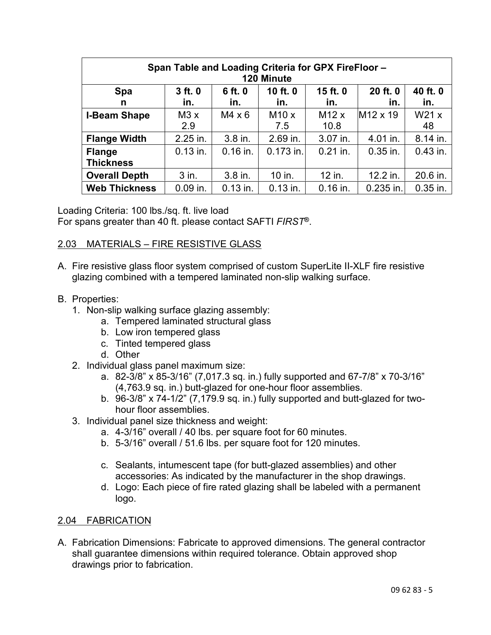| Span Table and Loading Criteria for GPX FireFloor -<br>120 Minute |                |                |                 |                 |                      |                 |  |  |  |  |
|-------------------------------------------------------------------|----------------|----------------|-----------------|-----------------|----------------------|-----------------|--|--|--|--|
| Spa<br>n                                                          | 3 ft. 0<br>in. | 6 ft. 0<br>in. | 10 ft. 0<br>in. | 15 ft. 0<br>in. | 20 ft. 0<br>in.      | 40 ft. 0<br>in. |  |  |  |  |
| <b>I-Beam Shape</b>                                               | M3x<br>2.9     | $M4 \times 6$  | M10x<br>7.5     | M12x<br>10.8    | M <sub>12</sub> x 19 | W21x<br>48      |  |  |  |  |
| <b>Flange Width</b>                                               | 2.25 in.       | 3.8 in.        | 2.69 in.        | 3.07 in.        | 4.01 in.             | 8.14 in.        |  |  |  |  |
| <b>Flange</b><br><b>Thickness</b>                                 | $0.13$ in.     | $0.16$ in.     | $0.173$ in.     | $0.21$ in.      | $0.35$ in.           | $0.43$ in.      |  |  |  |  |
| <b>Overall Depth</b>                                              | $3$ in.        | 3.8 in.        | 10 in.          | 12 in.          | 12.2 in.             | 20.6 in.        |  |  |  |  |
| <b>Web Thickness</b>                                              | $0.09$ in.     | $0.13$ in.     | $0.13$ in.      | $0.16$ in.      | 0.235 in.            | $0.35$ in.      |  |  |  |  |

Loading Criteria: 100 lbs./sq. ft. live load

For spans greater than 40 ft. please contact SAFTI *FIRST***®**.

# 2.03 MATERIALS – FIRE RESISTIVE GLASS

- A. Fire resistive glass floor system comprised of custom SuperLite II-XLF fire resistive glazing combined with a tempered laminated non-slip walking surface.
- B. Properties:
	- 1. Non-slip walking surface glazing assembly:
		- a. Tempered laminated structural glass
		- b. Low iron tempered glass
		- c. Tinted tempered glass
		- d. Other
	- 2. Individual glass panel maximum size:
		- a. 82-3/8" x 85-3/16" (7,017.3 sq. in.) fully supported and 67-7/8" x 70-3/16" (4,763.9 sq. in.) butt-glazed for one-hour floor assemblies.
		- b. 96-3/8" x 74-1/2" (7,179.9 sq. in.) fully supported and butt-glazed for twohour floor assemblies.
	- 3. Individual panel size thickness and weight:
		- a. 4-3/16" overall / 40 lbs. per square foot for 60 minutes.
		- b. 5-3/16" overall / 51.6 lbs. per square foot for 120 minutes.
		- c. Sealants, intumescent tape (for butt-glazed assemblies) and other accessories: As indicated by the manufacturer in the shop drawings.
		- d. Logo: Each piece of fire rated glazing shall be labeled with a permanent logo.

### 2.04 FABRICATION

A. Fabrication Dimensions: Fabricate to approved dimensions. The general contractor shall guarantee dimensions within required tolerance. Obtain approved shop drawings prior to fabrication.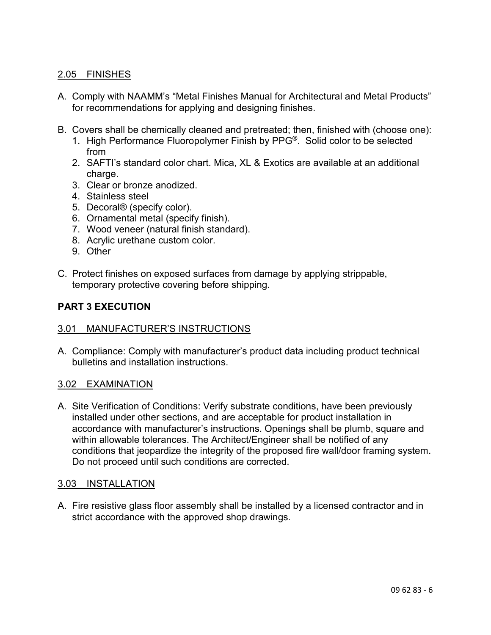## 2.05 FINISHES

- A. Comply with NAAMM's "Metal Finishes Manual for Architectural and Metal Products" for recommendations for applying and designing finishes.
- B. Covers shall be chemically cleaned and pretreated; then, finished with (choose one):
	- 1. High Performance Fluoropolymer Finish by PPG**®**. Solid color to be selected from
	- 2. SAFTI's standard color chart. Mica, XL & Exotics are available at an additional charge.
	- 3. Clear or bronze anodized.
	- 4. Stainless steel
	- 5. Decoral® (specify color).
	- 6. Ornamental metal (specify finish).
	- 7. Wood veneer (natural finish standard).
	- 8. Acrylic urethane custom color.
	- 9. Other
- C. Protect finishes on exposed surfaces from damage by applying strippable, temporary protective covering before shipping.

### **PART 3 EXECUTION**

### 3.01 MANUFACTURER'S INSTRUCTIONS

A. Compliance: Comply with manufacturer's product data including product technical bulletins and installation instructions.

#### 3.02 EXAMINATION

A. Site Verification of Conditions: Verify substrate conditions, have been previously installed under other sections, and are acceptable for product installation in accordance with manufacturer's instructions. Openings shall be plumb, square and within allowable tolerances. The Architect/Engineer shall be notified of any conditions that jeopardize the integrity of the proposed fire wall/door framing system. Do not proceed until such conditions are corrected.

### 3.03 INSTALLATION

A. Fire resistive glass floor assembly shall be installed by a licensed contractor and in strict accordance with the approved shop drawings.